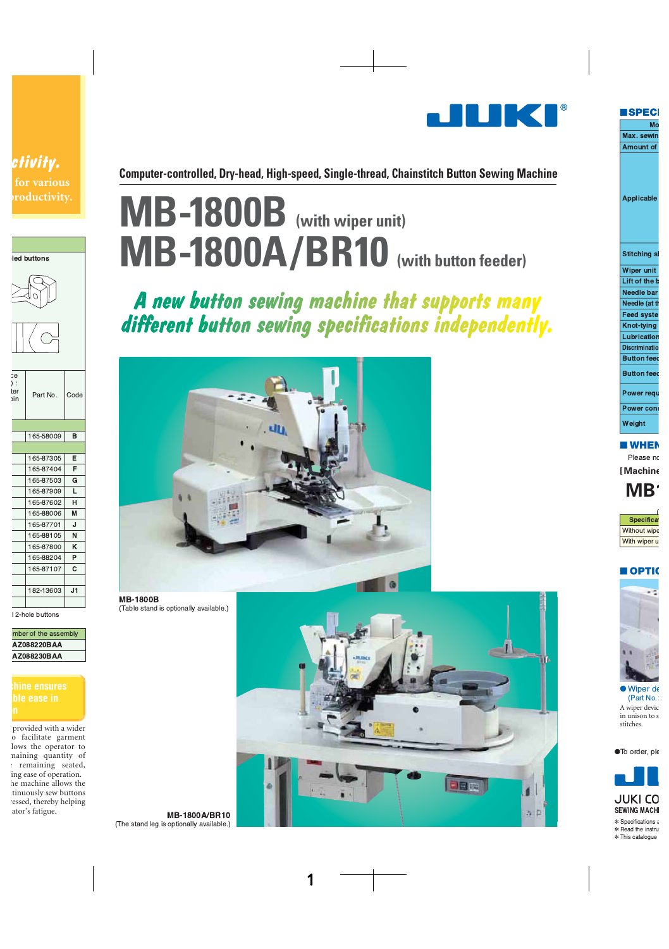

Computer-controlled, Dry-head, High-speed, Single-thread, Chainstitch Button Sewing Machine

# MB-1800B (with wiper unit) MB-1800A/BR10 (with button feeder)

A new button sewing machine that supports many different button sewing specifications independently.



**MB-1800B** (Table stand is optionally available.)

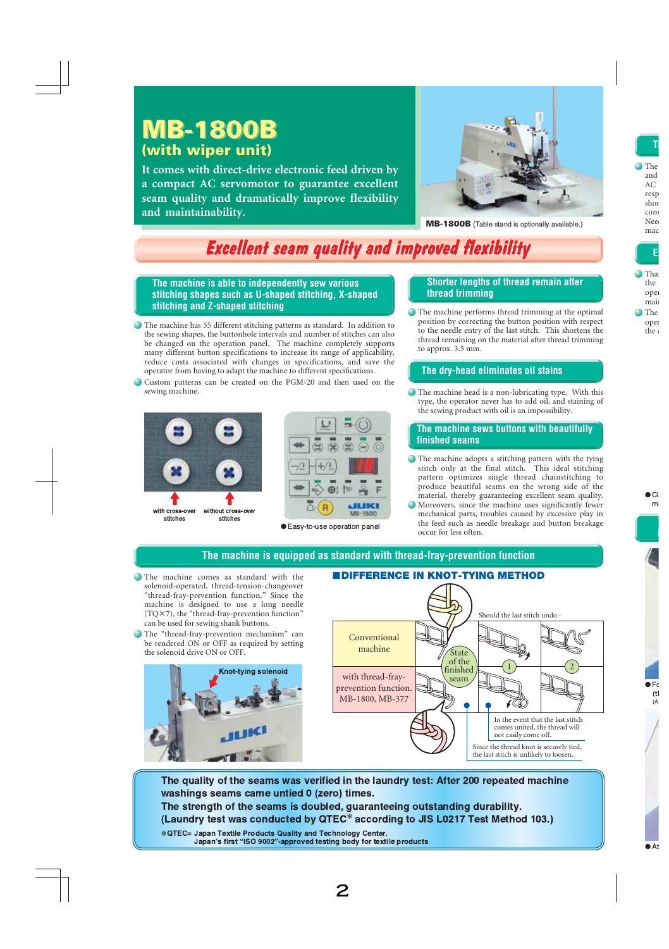## **MB-1800B MB-1800B (with wiper unit)**

**It comes with direct-drive electronic feed driven by a compact AC servomotor to guarantee excellent seam quality and dramatically improve flexibility and maintainability.**



**MB-1800B** (Table stand is optionally available.)

## **Excellent seam quality and improved flexibility**

**The machine is able to independently sew various stitching shapes such as U-shaped stitching, X-shaped stitching and Z-shaped stitching**

- The machine has 55 different stitching patterns as standard. In addition to the sewing shapes, the buttonhole intervals and number of stitches can also be changed on the operation panel. The machine completely supports many different button specifications to increase its range of applicability, reduce costs associated with changes in specifications, and save the operator from having to adapt the machine to different specifications.
- Custom patterns can be created on the PGM-20 and then used on the sewing machine.





#### ● Easy-to-use operation panel

### **Shorter lengths of thread remain after thread trimming**

The machine performs thread trimming at the optimal position by correcting the button position with respect to the needle entry of the last stitch. This shortens the thread remaining on the material after thread trimming to approx. 3.5 mm.

### **The dry-head eliminates oil stains**

The machine head is a non-lubricating type. With this type, the operator never has to add oil, and staining of the sewing product with oil is an impossibility.

### **The machine sews buttons with beautifully finished seams**

- The machine adopts a stitching pattern with the tying stitch only at the final stitch. This ideal stitching pattern optimizes single thread chainstitching to produce beautiful seams on the wrong side of the material, thereby guaranteeing excellent seam quality.
- Moreovers, since the machine uses significantly fewer mechanical parts, troubles caused by excessive play in the feed such as needle breakage and button breakage occur for less often.

### **The machine is equipped as standard with thread-fray-prevention function**

- The machine comes as standard with the solenoid-operated, thread-tension-changeover "thread-fray-prevention function." Since the machine is designed to use a long needle (TQ×7), the "thread-fray-prevention function" can be used for sewing shank buttons.
- The "thread-fray-prevention mechanism" can be rendered ON or OFF as required by setting the solenoid drive ON or OFF.



### with thread-frayprevention function. MB-1800, MB-377 Conventional machine  $1 \rightarrow 2$ Should the last stitch undo - Since the thread knot is securely tied, the last stitch is unlikely to loosen. In the event that the last stitch comes united, the thread will not easily come off. State of the finished seam

The quality of the seams was verified in the laundry test: After 200 repeated machine washings seams came untied 0 (zero) times. The strength of the seams is doubled, guaranteeing outstanding durability. (Laundry test was conducted by QTEC\* according to JIS L0217 Test Method 103.) \* QTEC= Japan Textile Products Quality and Technology Center. Japan's first "ISO 9002"-approved testing body for textile products

### ■**DIFFERENCE IN KNOT-TYING METHOD**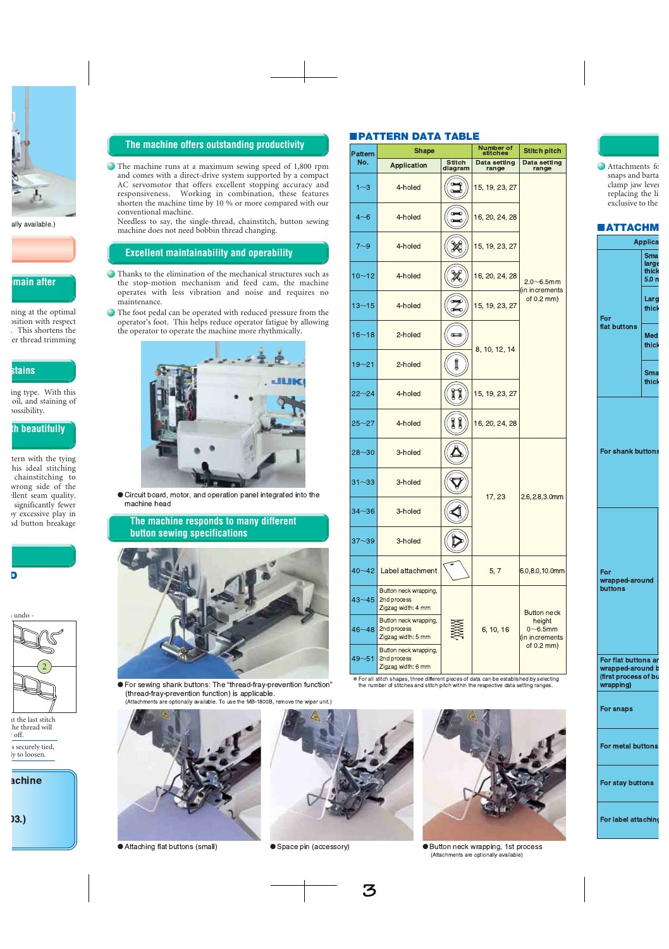### **The machine offers outstanding productivity**

The machine runs at a maximum sewing speed of 1,800 rpm and comes with a direct-drive system supported by a compact AC servomotor that offers excellent stopping accuracy and responsiveness. Working in combination, these features shorten the machine time by 10 % or more compared with our conventional machine.

Needless to say, the single-thread, chainstitch, button sewing machine does not need bobbin thread changing.

### **Excellent maintainability and operability**

- Thanks to the elimination of the mechanical structures such as the stop-motion mechanism and feed cam, the machine operates with less vibration and noise and requires no maintenance.
- The foot pedal can be operated with reduced pressure from the operator's foot. This helps reduce operator fatigue by allowing the operator to operate the machine more rhythmically.



Circuit board, motor, and operation panel integrated into the machine head

**The machine responds to many different button sewing specifications**



● For sewing shank buttons: The "thread-fray-prevention function" (thread-fray-prevention function) is applicable.

### ■**PATTERN DATA TABLE**

| <b>Pattern</b> | <b>Shape</b>                                               |                    | Number of<br>stitches | <b>Stitch pitch</b>                                    |  |  |
|----------------|------------------------------------------------------------|--------------------|-----------------------|--------------------------------------------------------|--|--|
| No.            | <b>Application</b>                                         | Stitch<br>diagram  | Data setting<br>range | Data setting<br>range                                  |  |  |
| $1 - 3$        | 4-holed                                                    | Œ                  | 15, 19, 23, 27        |                                                        |  |  |
| $4 - 6$        | 4-holed                                                    | Œ                  | 16, 20, 24, 28        |                                                        |  |  |
| $7 - 9$        | 4-holed                                                    |                    | 15, 19, 23, 27        |                                                        |  |  |
| $10 - 12$      | 4-holed                                                    |                    | 16, 20, 24, 28        | $2.0\neg 6.5$ mm                                       |  |  |
| $13 - 15$      | 4-holed                                                    | $\mathscr{Z}$<br>ю | 15, 19, 23, 27        | (in increments)<br>of $0.2$ mm)                        |  |  |
| $16 - 18$      | 2-holed                                                    | $\blacksquare$     | 8, 10, 12, 14         |                                                        |  |  |
| $19 - 21$      | 2-holed                                                    | Î                  |                       |                                                        |  |  |
| $22 - 24$      | 4-holed                                                    | Ĭ<br>Ţ             | 15, 19, 23, 27        |                                                        |  |  |
| $25 - 27$      | 4-holed                                                    | 11                 | 16, 20, 24, 28        |                                                        |  |  |
| $28 - 30$      | 3-holed                                                    |                    |                       |                                                        |  |  |
| $31 - 33$      | 3-holed                                                    |                    |                       |                                                        |  |  |
| $34 - 36$      | 3-holed                                                    |                    | 17, 23                | $2.6, 2.8, 3.0$ mm                                     |  |  |
| $37 - 39$      | 3-holed                                                    |                    |                       |                                                        |  |  |
| $40 - 42$      | Label attachment                                           |                    | 5,7                   | 6.0,8.0,10.0mm                                         |  |  |
| $43 - 45$      | Button neck wrapping,<br>2nd process<br>Zigzag width: 4 mm |                    |                       | <b>Button neck</b>                                     |  |  |
| $46 - 48$      | Button neck wrapping,<br>2nd process<br>Zigzag width: 5 mm |                    | 6, 10, 16             | height<br>$0\nightharpoonup 6.5$ mm<br>(in increments) |  |  |
| $49 - 51$      | Button neck wrapping,<br>2nd process<br>Zigzag width: 6 mm |                    |                       | of $0.2$ mm)                                           |  |  |

\* For all stitch shapes, three different pieces of data can be established by selecting<br>the number of stitches and stitch pitch within the respective data setting ranges.



● Attaching flat buttons (



●  - ● 



neck wrapping, 1st process (Attachments are optionally available)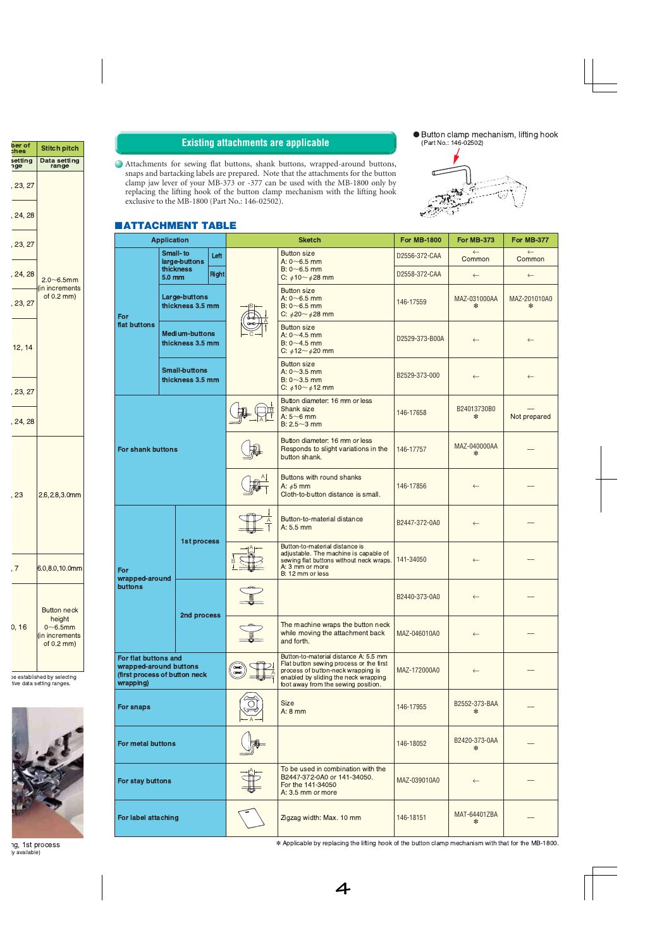### **Existing attachments are applicable**

Attachments for sewing flat buttons, shank buttons, wrapped-around buttons, snaps and bartacking labels are prepared. Note that the attachments for the button clamp jaw lever of your MB-373 or -377 can be used with the MB-1800 only by replacing the lifting hook of the button clamp mechanism with the lifting hook exclusive to the MB-1800 (Part No.: 146-02502).





### ■**ATTACHMENT TABLE**

| <b>Application</b>                                                                           |                                          |                                                                                       | <b>Sketch</b>                                                                                                                                                                                         | <b>For MB-1800</b>                                                                                                                                        | <b>For MB-373</b>                                                                   | <b>For MB-377</b>      |                        |
|----------------------------------------------------------------------------------------------|------------------------------------------|---------------------------------------------------------------------------------------|-------------------------------------------------------------------------------------------------------------------------------------------------------------------------------------------------------|-----------------------------------------------------------------------------------------------------------------------------------------------------------|-------------------------------------------------------------------------------------|------------------------|------------------------|
|                                                                                              | <b>Small-to</b><br>large-buttons         |                                                                                       | Left                                                                                                                                                                                                  | <b>Button size</b><br>A: $0 - 6.5$ mm                                                                                                                     | D2556-372-CAA                                                                       | $\leftarrow$<br>Common | $\leftarrow$<br>Common |
| For<br>flat buttons                                                                          | thickness<br>5.0 <sub>mm</sub>           |                                                                                       | <b>Right</b>                                                                                                                                                                                          | $B: 0 \sim 6.5$ mm<br>C: $\phi$ 10~ $\phi$ 28 mm                                                                                                          | D2558-372-CAA                                                                       | $\leftarrow$           | $\leftarrow$           |
|                                                                                              | <b>Large-buttons</b><br>thickness 3.5 mm |                                                                                       | <b>Button size</b><br>A: $0 \sim 6.5$ mm<br>$B: 0 \sim 6.5$ mm<br>C: $\phi$ 20 ~ $\phi$ 28 mm                                                                                                         | 146-17559                                                                                                                                                 | MAZ-031000AA<br>∗                                                                   | MAZ-201010A0<br>∗      |                        |
|                                                                                              |                                          | <b>Medium-buttons</b><br>thickness 3.5 mm<br><b>Small-buttons</b><br>thickness 3.5 mm |                                                                                                                                                                                                       | <b>Button size</b><br>A: $0 - 4.5$ mm<br>$B: 0 - 4.5$ mm<br>C: $612 \sim 620$ mm                                                                          | D2529-373-B00A                                                                      | $\leftarrow$           | $\leftarrow$           |
|                                                                                              |                                          |                                                                                       |                                                                                                                                                                                                       | <b>Button size</b><br>A: $0 - 3.5$ mm<br>$B: 0 \sim 3.5$ mm<br>C: $\phi$ 10~ $\phi$ 12 mm                                                                 | B2529-373-000                                                                       | $\leftarrow$           | $\leftarrow$           |
|                                                                                              |                                          |                                                                                       | Button diameter: 16 mm or less<br>Shank size<br>A: $5~6$ mm<br>$B: 2.5 - 3$ mm                                                                                                                        | 146-17658                                                                                                                                                 | B24013730B0<br>∗                                                                    | Not prepared           |                        |
| <b>For shank buttons</b>                                                                     |                                          |                                                                                       |                                                                                                                                                                                                       | Button diameter: 16 mm or less<br>Responds to slight variations in the<br>button shank.                                                                   | 146-17757                                                                           | MAZ-040000AA<br>∗      |                        |
|                                                                                              |                                          |                                                                                       | Buttons with round shanks<br>A: $\phi$ 5 mm<br>Cloth-to-button distance is small.                                                                                                                     | 146-17856                                                                                                                                                 | $\leftarrow$                                                                        |                        |                        |
|                                                                                              |                                          |                                                                                       |                                                                                                                                                                                                       | Button-to-material distance<br>$A: 5.5$ mm                                                                                                                | B2447-372-0A0                                                                       | $\leftarrow$           |                        |
| For<br>wrapped-around                                                                        | 1st process                              |                                                                                       |                                                                                                                                                                                                       | Button-to-material distance is<br>adjustable. The machine is capable of<br>sewing flat buttons without neck wraps.<br>A: 3 mm or more<br>B: 12 mm or less | 141-34050                                                                           | $\leftarrow$           |                        |
| <b>buttons</b>                                                                               |                                          | 2nd process                                                                           |                                                                                                                                                                                                       | B2440-373-0A0                                                                                                                                             | $\leftarrow$                                                                        |                        |                        |
|                                                                                              |                                          |                                                                                       |                                                                                                                                                                                                       |                                                                                                                                                           | The machine wraps the button neck<br>while moving the attachment back<br>and forth. | MAZ-046010A0           | $\leftarrow$           |
| For flat buttons and<br>wrapped-around buttons<br>(first process of button neck<br>wrapping) |                                          |                                                                                       | Button-to-material distance A: 5.5 mm<br>Flat button sewing process or the first<br>process of button-neck wrapping is<br>enabled by sliding the neck wrapping<br>foot away from the sewing position. | MAZ-172000A0                                                                                                                                              | $\leftarrow$                                                                        |                        |                        |
| For snaps                                                                                    |                                          |                                                                                       | <b>Size</b><br>$A: 8$ mm                                                                                                                                                                              | 146-17955                                                                                                                                                 | B2552-373-BAA<br>∗                                                                  |                        |                        |
| For metal buttons                                                                            |                                          |                                                                                       |                                                                                                                                                                                                       | B2420-373-0AA<br>146-18052                                                                                                                                |                                                                                     |                        |                        |
| For stay buttons                                                                             |                                          |                                                                                       | To be used in combination with the<br>B2447-372-0A0 or 141-34050.<br>For the 141-34050<br>A: 3.5 mm or more                                                                                           | MAZ-039010A0                                                                                                                                              | $\leftarrow$                                                                        |                        |                        |
| For label attaching                                                                          |                                          |                                                                                       | Zigzag width: Max. 10 mm                                                                                                                                                                              | 146-18151                                                                                                                                                 | MAT-64401ZBA<br>∗                                                                   |                        |                        |

\* Applicable by replacing the lifting hook of the button clamp mechanism with that for the MB-1800.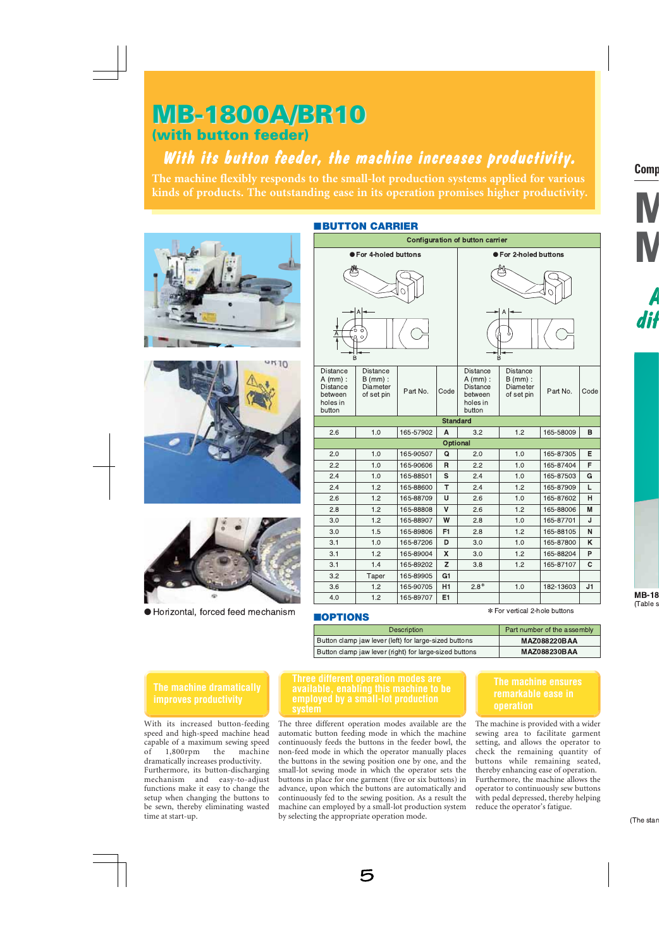## **MB-1800A/BR10**

### (with button feeder)

### With its button feeder, the machine increases productivity.

The machine flexibly responds to the small-lot production systems applied for various kinds of products. The outstanding ease in its operation promises higher productivity.







Horizontal, forced feed mechanism

| <b>Configuration of button carrier</b>                                            |                                                         |           |                           |                                                                                   |                                                         |           |                |
|-----------------------------------------------------------------------------------|---------------------------------------------------------|-----------|---------------------------|-----------------------------------------------------------------------------------|---------------------------------------------------------|-----------|----------------|
|                                                                                   | ● For 4-holed buttons                                   |           |                           |                                                                                   | ● For 2-holed buttons                                   |           |                |
|                                                                                   |                                                         |           |                           |                                                                                   |                                                         |           |                |
| ò<br>Ċ<br>Α<br>$\circ$<br>B                                                       |                                                         |           |                           | B                                                                                 |                                                         |           |                |
| <b>Distance</b><br>$A$ (mm) :<br><b>Distance</b><br>between<br>holes in<br>button | <b>Distance</b><br>$B$ (mm) :<br>Diameter<br>of set pin | Part No.  | Code                      | <b>Distance</b><br>$A$ (mm) :<br><b>Distance</b><br>between<br>holes in<br>button | <b>Distance</b><br>$B$ (mm) :<br>Diameter<br>of set pin | Part No.  | Code           |
|                                                                                   |                                                         |           | <b>Standard</b>           |                                                                                   |                                                         |           |                |
| 2.6                                                                               | 1.0                                                     | 165-57902 | A                         | 3.2                                                                               | 1.2                                                     | 165-58009 | в              |
|                                                                                   |                                                         |           | <b>Optional</b>           |                                                                                   |                                                         |           |                |
| 2.0                                                                               | 1.0                                                     | 165-90507 | Q                         | 2.0                                                                               | 1.0                                                     | 165-87305 | E              |
| 2.2                                                                               | 1.0                                                     | 165-90606 | $\mathsf{R}$              | 2.2                                                                               | 1.0                                                     | 165-87404 | F              |
| 2.4                                                                               | 1.0                                                     | 165-88501 | S                         | 2.4                                                                               | 1.0                                                     | 165-87503 | G              |
| 2.4                                                                               | 1.2                                                     | 165-88600 | T                         | 2.4                                                                               | 1.2                                                     | 165-87909 | L              |
| 2.6                                                                               | 1.2                                                     | 165-88709 | U                         | 2.6                                                                               | 1.0                                                     | 165-87602 | н              |
| 2.8                                                                               | 1.2                                                     | 165-88808 | $\mathsf{V}$              | 2.6                                                                               | 1.2                                                     | 165-88006 | м              |
| 3.0                                                                               | 1.2                                                     | 165-88907 | W                         | 2.8                                                                               | 1.0                                                     | 165-87701 | J              |
| 3.0                                                                               | 1.5                                                     | 165-89806 | F <sub>1</sub>            | 2.8                                                                               | 1.2                                                     | 165-88105 | N              |
| 3.1                                                                               | 1.0                                                     | 165-87206 | D                         | 3.0                                                                               | 1.0                                                     | 165-87800 | K              |
| 3.1                                                                               | 1.2                                                     | 165-89004 | $\boldsymbol{\mathsf{X}}$ | 3.0                                                                               | 1.2                                                     | 165-88204 | P              |
| 3.1                                                                               | 1.4                                                     | 165-89202 | Z                         | 3.8                                                                               | 1.2                                                     | 165-87107 | C              |
| 3.2                                                                               | Taper                                                   | 165-89905 | G <sub>1</sub>            |                                                                                   |                                                         |           |                |
| 3.6                                                                               | 1.2                                                     | 165-90705 | H1                        | $2.8*$                                                                            | 1.0                                                     | 182-13603 | J <sub>1</sub> |
| 4.0                                                                               | 1.2                                                     | 165-89707 | E <sub>1</sub>            |                                                                                   |                                                         |           |                |
|                                                                                   |                                                         |           |                           |                                                                                   | * For vertical 2-hole buttons                           |           |                |

### **MOPTIONS**

| <b>Description</b>                                     | Part number of the assembly |
|--------------------------------------------------------|-----------------------------|
| Button clamp jaw lever (left) for large-sized buttons  | <b>MAZ088220BAA</b>         |
| Button clamp jaw lever (right) for large-sized buttons | <b>MAZ088230BAA</b>         |

### The machine dramatically **improves productivity**

With its increased button-feeding speed and high-speed machine head capable of a maximum sewing speed of  $1,800$ rpm the machine dramatically increases productivity.

Furthermore, its button-discharging mechanism and easy-to-adjust functions make it easy to change the setup when changing the buttons to be sewn, thereby eliminating wasted time at start-up.

### **Three different operation modes are** employed by a small-lot production svstem

The three different operation modes available are the automatic button feeding mode in which the machine continuously feeds the buttons in the feeder bowl, the non-feed mode in which the operator manually places the buttons in the sewing position one by one, and the small-lot sewing mode in which the operator sets the buttons in place for one garment (five or six buttons) in advance, upon which the buttons are automatically and continuously fed to the sewing position. As a result the machine can employed by a small-lot production system by selecting the appropriate operation mode.

### The machine ensures remarkable ease in operation

The machine is provided with a wider sewing area to facilitate garment setting, and allows the operator to check the remaining quantity of buttons while remaining seated, thereby enhancing ease of operation. Furthermore, the machine allows the operator to continuously sew buttons with pedal depressed, thereby helping reduce the operator's fatigue.

### **EBUTTON CARRIER**